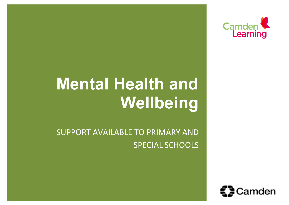

# **Mental Health and Wellbeing**

SUPPORT AVAILABLE TO PRIMARY AND SPECIAL SCHOOLS

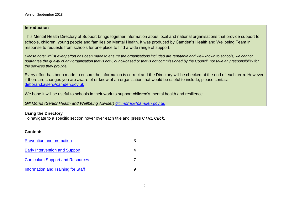### **Introduction**

This Mental Health Directory of Support brings together information about local and national organisations that provide support to schools, children, young people and families on Mental Health. It was produced by Camden's Health and Wellbeing Team in response to requests from schools for one place to find a wide range of support.

*Please note: whilst every effort has been made to ensure the organisations included are reputable and well-known to schools, we cannot guarantee the quality of any organisation that is not Council-based or that is not commissioned by the Council, nor take any responsibility for the services they provide.*

Every effort has been made to ensure the information is correct and the Directory will be checked at the end of each term. However if there are changes you are aware of or know of an organisation that would be useful to include, please contact [deborah.kaiser@camden.gov.uk](mailto:deborah.kaiser@camden.gov.uk)

We hope it will be useful to schools in their work to support children's mental health and resilience.

*Gill Morris (Senior Health and Wellbeing Adviser) [gill.morris@camden.gov.uk](mailto:gill.morris@camden.gov.uk)*

### **Using the Directory**

To navigate to a specific section hover over each title and press *CTRL Click.* 

### **Contents**

| <b>Prevention and promotion</b>           |  |
|-------------------------------------------|--|
| <b>Early Intervention and Support</b>     |  |
| <b>Curriculum Support and Resources</b>   |  |
| <b>Information and Training for Staff</b> |  |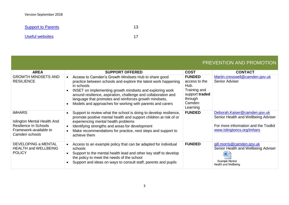[Support to](#page-13-0) Parents 13 [Useful websites](#page-18-0) 17

# PREVENTION AND PROMOTION

<span id="page-2-0"></span>

| <b>AREA</b>                                                                                                       | <b>SUPPORT OFFERED</b>                                                                                                                                                                                                                                                                                                                                                                    | <b>COST</b>                                                                                               | <b>CONTACT</b>                                                                                                                            |
|-------------------------------------------------------------------------------------------------------------------|-------------------------------------------------------------------------------------------------------------------------------------------------------------------------------------------------------------------------------------------------------------------------------------------------------------------------------------------------------------------------------------------|-----------------------------------------------------------------------------------------------------------|-------------------------------------------------------------------------------------------------------------------------------------------|
| <b>GROWTH MINDSETS AND</b><br><b>RESILIENCE</b>                                                                   | Access to Camden's Growth Mindsets Hub to share good<br>practice between schools and explore the latest work happening<br>in schools<br>INSET on implementing growth mindsets and exploring work<br>around resilience, aspiration, challenge and collaboration and<br>language that promotes and reinforces growth mindsets,<br>Models and approaches for working with parents and carers | <b>FUNDED</b><br>access to the<br>Hub.<br>Training and<br>support traded<br>through<br>Camden<br>Learning | Martin.cresswell@camden.gov.uk<br>Senior Adviser                                                                                          |
| <b>iMHARS</b><br>Islington Mental Health And<br>Resilience In Schools<br>Framework-available to<br>Camden schools | Support to review what the school is doing to develop resilience,<br>promote positive mental health and support children at risk of or<br>experiencing mental health problems<br>Identifying strengths and areas for development<br>Make recommendations for practice, next steps and support to<br>achieve them                                                                          | <b>FUNDED</b>                                                                                             | Deborah.Kaiser@camden.gov.uk<br>Senior Health and Wellbeing Adviser<br>For more information and the Toolkit<br>www.Islingtoncs.org/imhars |
| DEVELOPING a MENTAL<br><b>HEALTH and WELLBEING</b><br><b>POLICY</b>                                               | Access to an example policy that can be adapted for individual<br>schools<br>Support to the mental health lead and other key staff to develop<br>the policy to meet the needs of the school<br>Support and ideas on ways to consult staff, parents and pupils                                                                                                                             | <b>FUNDED</b>                                                                                             | gill.morris@camden.gov.uk<br>Senior Health and Wellbeing Adviser<br>W<br>Example Mental<br>Health and Wellbeing                           |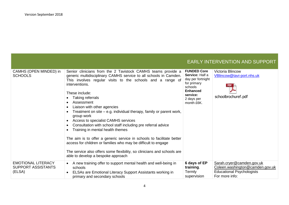<span id="page-3-0"></span>

|                                                                  |                                                                                                                                                                                                                                                                                                                                                                                                                                                                                                                                                                                                                                                                                                                                                                                                  |                                                                                                                                                 | <b>EARLY INTERVENTION AND SUPPORT</b>                                                                              |
|------------------------------------------------------------------|--------------------------------------------------------------------------------------------------------------------------------------------------------------------------------------------------------------------------------------------------------------------------------------------------------------------------------------------------------------------------------------------------------------------------------------------------------------------------------------------------------------------------------------------------------------------------------------------------------------------------------------------------------------------------------------------------------------------------------------------------------------------------------------------------|-------------------------------------------------------------------------------------------------------------------------------------------------|--------------------------------------------------------------------------------------------------------------------|
| CAMHS (OPEN MINDED) in<br><b>SCHOOLS</b>                         | Senior clinicians from the 2 Tavistock CAMHS teams provide a<br>generic multidisciplinary CAMHS service to all schools in Camden.<br>This involves regular visits to the schools and a range of<br>interventions.<br>These include:<br>Taking referrals<br>Assessment<br>Liaison with other agencies<br>Treatment on site – e.g. individual therapy, family or parent work,<br>group work<br>Access to specialist CAMHS services<br>Consultation with school staff including pre referral advice<br>Training in mental health themes<br>The aim is to offer a generic service in schools to facilitate better<br>access for children or families who may be difficult to engage<br>The service also offers some flexibility, so clinicians and schools are<br>able to develop a bespoke approach | <b>FUNDED Core</b><br>Service: Half a<br>day per fortnight<br>for primary<br>schools<br><b>Enhanced</b><br>service:<br>2 days per<br>month £6K. | Victoria Blincow<br>VBlincow@tavi-port.nhs.uk<br>schoolbrochuref.pdf                                               |
| <b>EMOTIONAL LITERACY</b><br><b>SUPPORT ASSISTANTS</b><br>(ELSA) | A new training offer to support mental health and well-being in<br>schools<br>ELSAs are Emotional Literacy Support Assistants working in<br>primary and secondary schools                                                                                                                                                                                                                                                                                                                                                                                                                                                                                                                                                                                                                        | 6 days of EP<br>training.<br>Termly<br>supervision                                                                                              | Sarah.cryer@camden.gov.uk<br>Coleen.washington@camden.gov.uk<br><b>Educational Psychologists</b><br>For more info: |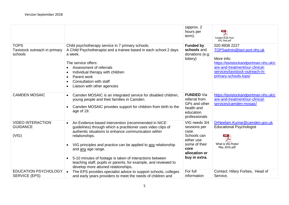|                                                         |                                                                                                                                                                                                                                                                                                                                                                                                                                                             | (approx. 2)<br>hours per<br>term).                                                                                             | $\overline{ }$<br>Camden ELSA Flyer<br>EPS_final.pdf                                                                                                                                             |
|---------------------------------------------------------|-------------------------------------------------------------------------------------------------------------------------------------------------------------------------------------------------------------------------------------------------------------------------------------------------------------------------------------------------------------------------------------------------------------------------------------------------------------|--------------------------------------------------------------------------------------------------------------------------------|--------------------------------------------------------------------------------------------------------------------------------------------------------------------------------------------------|
| <b>TOPS</b><br>Tavistock outreach in primary<br>schools | Child psychotherapy service in 7 primary schools.<br>A Child Psychotherapist and a trainee based in each school 2 days<br>a week.<br>The service offers:<br>Assessment of referrals<br>Individual therapy with children<br>Parent work<br>Consultation with staff<br>Liaison with other agencies                                                                                                                                                            | <b>Funded by</b><br>schools and<br>donations (e.g.<br>lottery)                                                                 | 020 8938 2227<br>TOPSadmin@tavi-port.nhs.uk<br>More info:<br>https://tavistockandportman.nhs.uk/c<br>are-and-treatment/our-clinical-<br>services/tavistock-outreach-in-<br>primary-schools-tops/ |
| <b>CAMDEN MOSAIC</b>                                    | Camden MOSAIC is an integrated service for disabled children,<br>$\bullet$<br>young people and their families in Camden.<br>Camden MOSAIC provides support for children from birth to the<br>$\bullet$<br>age of 19.                                                                                                                                                                                                                                        | <b>FUNDED Via</b><br>referral from<br>GPs and other<br>health and<br>education<br>professionals                                | https://tavistockandportman.nhs.uk/c<br>are-and-treatment/our-clinical-<br>services/camden-mosaic/                                                                                               |
| <b>VIDEO INTERACTION</b><br><b>GUIDANCE</b><br>(VIG)    | An Evidence-based intervention (recommended in NICE<br>guidelines) through which a practitioner uses video clips of<br>authentic situations to enhance communication within<br>relationships.<br>VIG principles and practice can be applied to any relationship<br>and any age range.<br>5-10 minutes of footage is taken of interactions between<br>teaching staff, pupils or parents, for example, and reviewed to<br>develop more attuned relationships. | VIG needs 3/4<br>sessions per<br>case.<br>Schools can<br>either use<br>some of their<br>core<br>allocation or<br>buy in extra. | DrNeelam.Kumar@camden.gov.uk<br><b>Educational Psychologist</b><br>What is VIG Poster<br>May 2016.pdf                                                                                            |
| <b>EDUCATION PSYCHOLOGY</b><br><b>SERVICE (EPS)</b>     | The EPS provides specialist advice to support schools, colleges<br>and early years providers to meet the needs of children and                                                                                                                                                                                                                                                                                                                              | For full<br>information                                                                                                        | Contact: Hilary Forbes, Head of<br>Service,                                                                                                                                                      |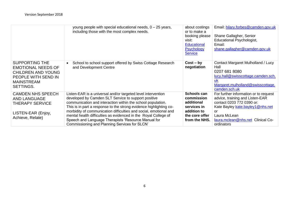|                                                                                                                                          | young people with special educational needs, 0 - 25 years,<br>including those with the most complex needs.                                                                                                                                                                                                                                                                                                                                                                                               | about costings<br>or to make a<br>booking please<br>visit:<br><b>Educational</b><br><b>Psychology</b><br><b>Service</b> | Email: hilary.forbes@camden.gov.uk<br>Shane Gallagher, Senior<br>Educational Psychologist,<br>Email:<br>shane.gallagher@camden.gov.uk                                                                              |
|------------------------------------------------------------------------------------------------------------------------------------------|----------------------------------------------------------------------------------------------------------------------------------------------------------------------------------------------------------------------------------------------------------------------------------------------------------------------------------------------------------------------------------------------------------------------------------------------------------------------------------------------------------|-------------------------------------------------------------------------------------------------------------------------|--------------------------------------------------------------------------------------------------------------------------------------------------------------------------------------------------------------------|
| <b>SUPPORTING THE</b><br><b>EMOTIONAL NEEDS OF</b><br><b>CHILDREN AND YOUNG</b><br>PEOPLE WITH SEND IN<br><b>MAINSTREAM</b><br>SETTINGS. | School to school support offered by Swiss Cottage Research<br>and Development Centre                                                                                                                                                                                                                                                                                                                                                                                                                     | $Cost - by$<br>negotiation                                                                                              | Contact Margaret Mulholland / Lucy<br>Hall<br>0207 681 8080<br>lucy.hall@swisscottage.camden.sch.<br><b>UK</b><br>Margaret.mulholland@swisscottage.<br>camden.sch.uk                                               |
| <b>CAMDEN NHS SPEECH</b><br><b>AND LANGUAGE</b><br><b>THERAPY SERVICE</b><br>LISTEN-EAR (Enjoy,<br>Achieve, Relate)                      | Listen-EAR is a universal and/or targeted level intervention<br>developed by Camden SLT Service to support positive<br>communication and interaction within the school population.<br>This is in part a response to the strong evidence highlighting co-<br>morbidity of communication difficulties and social, emotional and<br>mental health difficulties as evidenced in the Royal College of<br>Speech and Language Therapists 'Resource Manual for<br>Commissioning and Planning Services for SLCN' | Schools can<br>commission<br>additional<br>services in<br>addition to<br>the core offer<br>from the NHS.                | For further information or to request<br>advice, training and Listen-EAR<br>contact 0203 772 0390 or:<br>Kate Bayley kate.bayley1@nhs.net<br>or<br>Laura McLean<br>laura.mclean@nhs.net Clinical Co-<br>ordinators |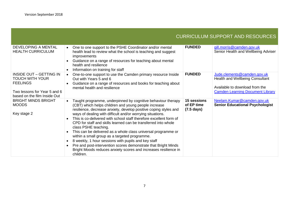<span id="page-6-0"></span>

|                                                                                                                                             |                                                                                                                                                                                                                                                                                                                                                                                                                                                                                                                                                                                                                                                                                                                                                   |                                                          | <b>CURRICULUM SUPPORT AND RESOURCES</b>                                                                                                            |
|---------------------------------------------------------------------------------------------------------------------------------------------|---------------------------------------------------------------------------------------------------------------------------------------------------------------------------------------------------------------------------------------------------------------------------------------------------------------------------------------------------------------------------------------------------------------------------------------------------------------------------------------------------------------------------------------------------------------------------------------------------------------------------------------------------------------------------------------------------------------------------------------------------|----------------------------------------------------------|----------------------------------------------------------------------------------------------------------------------------------------------------|
| <b>DEVELOPING A MENTAL</b><br><b>HEALTH CURRICULUM</b>                                                                                      | One to one support to the PSHE Coordinator and/or mental<br>$\bullet$<br>health lead to review what the school is teaching and suggest<br><i>improvements</i><br>Guidance on a range of resources for teaching about mental<br>health and resilience<br>Information on training for staff                                                                                                                                                                                                                                                                                                                                                                                                                                                         | <b>FUNDED</b>                                            | gill.morris@camden.gov.uk<br>Senior Health and Wellbeing Adviser                                                                                   |
| <b>INSIDE OUT - GETTING IN</b><br><b>TOUCH WITH YOUR</b><br><b>FEELINGS</b><br>Two lessons for Year 5 and 6<br>based on the film Inside Out | One-to-one support to use the Camden primary resource Inside<br>Out with Years 5 and 6<br>Guidance on a range of resources and books for teaching about<br>mental health and resilience                                                                                                                                                                                                                                                                                                                                                                                                                                                                                                                                                           | <b>FUNDED</b>                                            | Jude.clements@camden.gov.uk<br><b>Health and Wellbeing Consultant</b><br>Available to download from the<br><b>Camden Learning Document Library</b> |
| <b>BRIGHT MINDS BRIGHT</b><br><b>MOODS</b><br>Key stage 2                                                                                   | Taught programme, underpinned by cognitive behaviour therapy<br>(CBT) which helps children and young people increase<br>resilience, decrease anxiety, develop positive coping styles and<br>ways of dealing with difficult and/or worrying situations.<br>This is co-delivered with school staff therefore excellent form of<br>CPD for staff and skills learned can be transferred into whole<br>class PSHE teaching.<br>This can be delivered as a whole class universal programme or<br>within a small group as a targeted programme.<br>8 weekly, 1 hour sessions with pupils and key staff<br>Pre and post-intervention scores demonstrate that Bright Minds<br>Bright Moods reduces anxiety scores and increases resilience in<br>children. | <b>15 sessions</b><br>of EP time<br>$(7.5 \text{ days})$ | Neelam.Kumar@camden.gov.uk<br><b>Senior Educational Psychologist</b>                                                                               |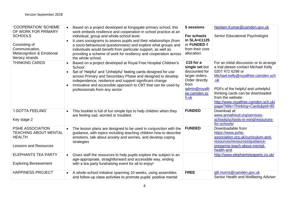| 'COOPERATION' SCHEME<br>OF WORK FOR PRIMARY<br><b>SCHOOLS</b><br>Consisting of<br>Communication,<br>Metacognition & Emotional<br>literacy strands | Based on a project developed at Kingsgate primary school, this<br>work embeds resilience and cooperation in school practice at an<br>individual, group and whole-school level.<br>It uses sociograms to assess pupils and their relationships (from<br>a socio-behavioural questionnaire) and explore what groups and<br>individuals would benefit from particular support, as well as<br>providing a scheme of work for resiliency and cooperation across<br>the whole school. | 5 sessions<br>For schools<br>in SLA=£1125<br>or FUNDED if<br>from their core<br>allocation                                         | Neelam.Kumar@camden.gov.uk<br>Senior Educational Psychologist                                                                                                                                                                                                                                                              |
|---------------------------------------------------------------------------------------------------------------------------------------------------|---------------------------------------------------------------------------------------------------------------------------------------------------------------------------------------------------------------------------------------------------------------------------------------------------------------------------------------------------------------------------------------------------------------------------------------------------------------------------------|------------------------------------------------------------------------------------------------------------------------------------|----------------------------------------------------------------------------------------------------------------------------------------------------------------------------------------------------------------------------------------------------------------------------------------------------------------------------|
| <b>THINKING CARDS</b>                                                                                                                             | Based on a project developed at Royal Free Hospital Children's<br>School<br>Set of 'Helpful' and 'Unhelpful' feeling cards designed for use<br>across Primary and Secondary Phase and designed to develop<br>independence, resilience and support significant change<br>Innovative and accessible approach to CBT that can be used by<br>professionals from any sector                                                                                                          | £15 for a<br>single set but<br>discounted for<br>larger orders.<br>Order directly<br>from<br>admin@royalfr<br>ee.camden.sc<br>h.uk | For an initial discussion or to arrange<br>a trial please contact Michael Kelly<br>0207 472 6298 or<br>Michael.kelly@royalfree.camden.sch<br>.uk<br>PDFs of the helpful and unhelpful<br>thinking cards can be downloaded<br>from the website:<br>http://www.royalfree.camden.sch.uk/<br>page/?title=Thinking+Cards&pid=85 |
| 'I GOTTA FEELING'<br>Key stage 2                                                                                                                  | This booklet is full of fun simple tips to help children when they<br>are feeling sad, worried or troubled.                                                                                                                                                                                                                                                                                                                                                                     | <b>FUNDED</b>                                                                                                                      | Download at:<br>www.annafreud.org/services-<br>schools/schools-in-mind/resources-<br>for-schools/                                                                                                                                                                                                                          |
| PSHE ASSOCIATION<br><b>TEACHING ABOUT MENTAL</b><br><b>HEALTH</b><br><b>Lessons and Resources</b>                                                 | The lesson plans are designed to be used in conjunction with the<br>guidance, with topics including teaching children how to describe<br>emotions, talk about anxiety and worries, and develop coping<br>strategies                                                                                                                                                                                                                                                             | <b>FUNDED</b>                                                                                                                      | Downloadable from<br>https://www.pshe-<br>association.org.uk/curriculum-and-<br>resources/resources/guidance-<br>preparing-teach-about-mental-<br>health-and                                                                                                                                                               |
| <b>ELEPHANTS TEA PARTY</b><br><b>Exploring Bereavement</b>                                                                                        | Gives staff the resources to help pupils explore the subject in an<br>age-appropriate, straightforward and accessible way, ending<br>with a tea party fundraising event for all to enjoy!                                                                                                                                                                                                                                                                                       |                                                                                                                                    | http://www.elephantsteaparty.co.uk/                                                                                                                                                                                                                                                                                        |
| <b>HAPPINESS PROJECT</b>                                                                                                                          | A whole-school initiative spanning 10 weeks, using assembles<br>$\bullet$<br>and follow-up class activities to promote pupils' positive mental                                                                                                                                                                                                                                                                                                                                  | <b>FREE</b>                                                                                                                        | gill.morris@camden.gov.uk<br>Senior Health and Wellbeing Adviser                                                                                                                                                                                                                                                           |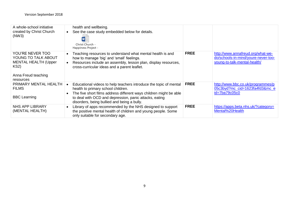| A whole-school initiative<br>created by Christ Church<br>(NW3)                                                     | health and wellbeing.<br>See the case study embedded below for details.<br>Christ Church -<br>Happiness Project -                                                                                                                                                                      |             |                                                                                                          |
|--------------------------------------------------------------------------------------------------------------------|----------------------------------------------------------------------------------------------------------------------------------------------------------------------------------------------------------------------------------------------------------------------------------------|-------------|----------------------------------------------------------------------------------------------------------|
| YOU'RE NEVER TOO<br>YOUNG TO TALK ABOUT<br><b>MENTAL HEALTH (Upper</b><br>KS2)<br>Anna Freud teaching<br>resources | Teaching resources to understand what mental health is and<br>how to manage 'big' and 'small' feelings.<br>Resources include an assembly, lesson plan, display resources,<br>cross-curricular ideas and a parent leaflet.                                                              | <b>FREE</b> | http://www.annafreud.org/what-we-<br>do/schools-in-mind/youre-never-too-<br>young-to-talk-mental-health/ |
| PRIMARY MENTAL HEALTH<br><b>FILMS</b><br><b>BBC Learning</b>                                                       | Educational videos to help teachers introduce the topic of mental<br>health to primary school children.<br>The five short films address different ways children might be able<br>to deal with OCD and depression, panic attacks, eating<br>disorders, being bullied and being a bully. | <b>FREE</b> | http://www.bbc.co.uk/programmes/p<br>05c3byd?mc_cid=1623fa4fd3&mc_e<br>id=7ba79c05c0                     |
| <b>NHS APP LIBRARY</b><br>(MENTAL HEALTH)                                                                          | Library of apps recommended by the NHS designed to support<br>the positive mental health of children and young people. Some<br>only suitable for secondary age.                                                                                                                        | <b>FREE</b> | https://apps.beta.nhs.uk/?category=<br>Mental%20Health                                                   |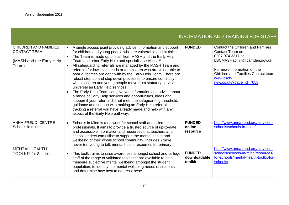# INFORMATION AND TRAINING FOR STAFF

<span id="page-9-0"></span>

| <b>CHILDREN AND FAMILIES</b><br><b>CONTACT TEAM</b><br>(MASH and the Early Help<br>Team)   | A single access point providing advice, information and support<br>$\bullet$<br>for children and young people who are vulnerable and at risk.<br>The Team is made up of staff from MASH and the Early Help<br>Team and other Early Help and specialist services. #<br>All safeguarding referrals are managed by the MASH Team and<br>referrals for low level needs or for children who are vulnerable to<br>poor outcomes are dealt with by the Early Help Team. There are<br>robust step up and step down processes to ensure continuity<br>when children and young people move from statutory services to<br>universal an Early Help services.<br>The Early Help Team can give you information and advice about<br>$\bullet$<br>a range of Early Help services and opportunities, ideas and<br>support if your referral did not meet the safeguarding threshold,<br>guidance and support with making an Early Help referral,<br>tracking a referral you have already made and help with any<br>aspect of the Early Help pathway. | <b>FUNDED</b>                                                                   | <b>Contact the Children and Families</b><br>Contact Team on:<br>0207 974 3317 or<br>LBCMASHadmin@camden.gov.uk<br>For more information on the<br>Children and Families Contact team<br>www.cscb-<br>new.co.uk/?page id=7058 |
|--------------------------------------------------------------------------------------------|------------------------------------------------------------------------------------------------------------------------------------------------------------------------------------------------------------------------------------------------------------------------------------------------------------------------------------------------------------------------------------------------------------------------------------------------------------------------------------------------------------------------------------------------------------------------------------------------------------------------------------------------------------------------------------------------------------------------------------------------------------------------------------------------------------------------------------------------------------------------------------------------------------------------------------------------------------------------------------------------------------------------------------|---------------------------------------------------------------------------------|-----------------------------------------------------------------------------------------------------------------------------------------------------------------------------------------------------------------------------|
| ANNA FREUD CENTRE<br>Schools in mind<br><b>MENTAL HEALTH</b><br><b>TOOLKIT</b> for Schools | Schools in Mind is a network for school staff and allied<br>professionals. It aims to provide a trusted source of up-to-date<br>and accessible information and resources that teachers and<br>school leaders can utilise to support the mental health and<br>wellbeing of their whole school community. Includes You're<br>never too young to talk mental health resources for primary<br>This toolkit aims to raise awareness amongst school and college<br>$\bullet$<br>staff of the range of validated tools that are available to help<br>measure subjective mental wellbeing amongst the student<br>population, to identify the mental wellbeing needs of students<br>and determine how best to address these.                                                                                                                                                                                                                                                                                                                | <b>FUNDED</b><br>online<br>resource<br><b>FUNDED</b><br>downloadable<br>toolkit | http://www.annafreud.org/services-<br>schools/schools-in-mind/<br>http://www.annafreud.org/services-<br>schools/schools-in-mind/resources-<br>for-schools/mental-health-toolkit-for-<br>schools/                            |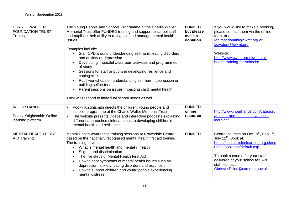| <b>CHARLIE WALLER</b><br><b>FOUNDATION TRUST</b><br>Training   | The Young People and Schools Programme at the Charlie Waller<br>Memorial Trust offer FUNDED training and support to school staff<br>and pupils in their ability to recognise and manage mental health<br>issues.<br>Examples include:<br>Staff CPD around understanding self-harm, eating disorders<br>and anxiety or depression<br>Developing impactful classroom activities and programmes<br>of study<br>Sessions for staff or pupils in developing resilience and<br>coping skills<br>Pupil workshops on understanding self-harm, depression or<br>building self-esteem<br>Parent sessions on issues impacting child mental health<br>$\bullet$<br>They will respond to individual school needs as well. | <b>FUNDED</b><br>but please<br>make a<br>donation | If you would like to make a booking,<br>please contact them via the online<br>form, or email<br>lan.macdonald@cwmt.org or<br>Izzy.dent@cwmt.org.<br>Website:<br>http://www.cwmt.org.uk/mental-<br>health-training-for-schools/                                                                        |
|----------------------------------------------------------------|--------------------------------------------------------------------------------------------------------------------------------------------------------------------------------------------------------------------------------------------------------------------------------------------------------------------------------------------------------------------------------------------------------------------------------------------------------------------------------------------------------------------------------------------------------------------------------------------------------------------------------------------------------------------------------------------------------------|---------------------------------------------------|-------------------------------------------------------------------------------------------------------------------------------------------------------------------------------------------------------------------------------------------------------------------------------------------------------|
| IN OUR HANDS<br>Pooky Knightsmith: Online<br>learning platform | Pooky Knightsmith directs the children, young people and<br>schools programme at the Charlie Waller Memorial Trust.<br>The website presents videos and interactive podcasts explaining<br>$\bullet$<br>different approaches / interventions to developing children's<br>mental health and resilience                                                                                                                                                                                                                                                                                                                                                                                                         | <b>FUNDED</b><br>online<br>resource               | http://www.inourhands.com/category<br>/training-and-consultancy/online-<br>learning/                                                                                                                                                                                                                  |
| <b>MENTAL HEALTH FIRST</b><br><b>AID Training</b>              | Mental Health Awareness training sessions at Crowndale Centre,<br>based on the nationally recognised mental health first aid training.<br>The training covers<br>What is mental health and mental ill health<br>Stigma and discrimination<br>The five steps of Mental Health First Aid<br>How to spot symptoms of mental health issues such as<br>$\bullet$<br>depression, anxiety, eating disorders and psychosis<br>How to support children and young people experiencing<br>mental distress                                                                                                                                                                                                               | <b>FUNDED</b>                                     | Central courses on Oct 19 <sup>th</sup> , Feb 1 <sup>st</sup> ,<br>July 12 <sup>th</sup> . Book at:<br>https://cpd.camdenlearning.org.uk/co<br>urses/bookings/default.asp<br>To book a course for your staff<br>delivered at your school for 8-20<br>staff, contact:<br>Chrissie.Dillon@camden.gov.uk |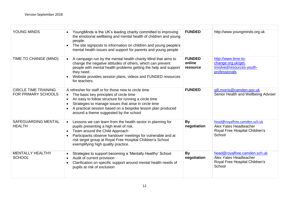| YOUNG MINDS                                        | YoungMinds is the UK's leading charity committed to improving<br>the emotional wellbeing and mental health of children and young<br>people.<br>The site signposts to information on children and young people's<br>mental health issues and support for parents and young people                                            | <b>FUNDED</b>                       | http://www.youngminds.org.uk                                                                       |
|----------------------------------------------------|-----------------------------------------------------------------------------------------------------------------------------------------------------------------------------------------------------------------------------------------------------------------------------------------------------------------------------|-------------------------------------|----------------------------------------------------------------------------------------------------|
| TIME TO CHANGE (MIND)                              | A campaign run by the mental health charity Mind that aims to<br>change the negative attitudes of others, which can prevent<br>people with mental health problems getting the help and support<br>they need.<br>Website provides session plans, videos and FUNDED resources<br>for teachers.                                | <b>FUNDED</b><br>online<br>resource | http://www.time-to-<br>change.org.uk/get-<br>involved/resources-youth-<br>professionals            |
| <b>CIRCLE TIME TRAINING</b><br>FOR PRIMARY SCHOOLS | A refresher for staff or for those new to circle time<br>The basic key principles of circle time<br>An easy to follow structure for running a circle time<br>Strategies to manage issues that arise in circle time<br>A practical session based on a bespoke lesson plan produced<br>around a theme suggested by the school | <b>FUNDED</b>                       | gill.morris@camden.gov.uk<br>Senior Health and Wellbeing Adviser                                   |
| SAFEGUARDING MENTAL<br><b>HEALTH</b>               | Lessons we can learn from the health sector in planning for<br>pupils presenting a high level of risk.<br>Team around the Child Approach<br>Participants observe handover meetings for vulnerable and at<br>risk target group at Royal Free Hospital Children's School<br>exemplifying high quality practice.               | By<br>negotiation                   | head@royalfree.camden.sch.uk<br>Alex Yates Headteacher<br>Royal Free Hospital Children's<br>School |
| <b>MENTALLY HEALTHY</b><br><b>SCHOOL</b>           | Strategies to support becoming a 'Mentally Healthy' School<br>Audit of current provision<br>Clarification on specific support around mental health needs of<br>pupils at risk of exclusion                                                                                                                                  | <b>By</b><br>negotiation            | head@royalfree.camden.sch.uk<br>Alex Yates Headteacher<br>Royal Free Hospital Children's<br>School |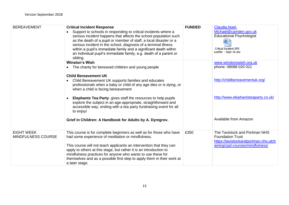| <b>BEREAVEMENT</b>                      | <b>Critical Incident Response</b><br>Support to schools in responding to critical incidents-where a<br>serious incident happens that affects the school population such<br>as the death of a pupil or member of staff, a local disaster or a<br>serious incident in the school, diagnosis of a terminal illness<br>within a pupil's immediate family and a significant death within<br>an individual pupil's immediate family, e.g. death of a parent or<br>sibling. | <b>FUNDED</b> | Claudia.Noel-<br>Michael@camden.gov.uk<br><b>Educational Psychologist</b><br>W<br><b>Critical Incident EPS</b><br>Leaflet - Sept 16.doc |
|-----------------------------------------|----------------------------------------------------------------------------------------------------------------------------------------------------------------------------------------------------------------------------------------------------------------------------------------------------------------------------------------------------------------------------------------------------------------------------------------------------------------------|---------------|-----------------------------------------------------------------------------------------------------------------------------------------|
|                                         | <b>Winston's Wish</b><br>The charity for bereaved children and young people                                                                                                                                                                                                                                                                                                                                                                                          |               | www.winstonswish.org.uk<br>phone: 08088 020 021                                                                                         |
|                                         | <b>Child Bereavement UK</b><br>Child Bereavement UK supports families and educates<br>professionals when a baby or child of any age dies or is dying, or<br>when a child is facing bereavement                                                                                                                                                                                                                                                                       |               | http://childbereavementuk.org/                                                                                                          |
|                                         | <b>Elephants Tea Party:</b> gives staff the resources to help pupils<br>explore the subject in an age-appropriate, straightforward and<br>accessible way, ending with a tea party fundraising event for all<br>to enjoy!                                                                                                                                                                                                                                             |               | http://www.elephantsteaparty.co.uk/                                                                                                     |
|                                         | Grief in Children: A Handbook for Adults by A. Dyregrov.                                                                                                                                                                                                                                                                                                                                                                                                             |               | Available from Amazon                                                                                                                   |
| <b>EIGHT WEEK</b><br>MINDFULNESS COURSE | This course is for complete beginners as well as for those who have<br>had some experience of meditation or mindfulness.<br>This course will not teach applicants an intervention that they can<br>apply to others at this stage, but rather it is an introduction to<br>mindfulness practices for anyone who wants to use these for<br>themselves and as a possible first step to apply them in their work at<br>a later stage.                                     | £350          | The Tavistock and Portman NHS<br><b>Foundation Trust</b><br>https://tavistockandportman.nhs.uk/tr<br>aining/cpd-courses/mindfulness/    |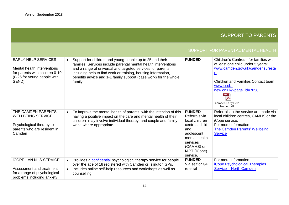# SUPPORT TO PARENTS

## SUPPORT FOR PARENTAL MENTAL HEALTH

<span id="page-13-0"></span>

| <b>EARLY HELP SERVICES</b><br>Mental health interventions<br>for parents with children 0-19<br>(0-25 for young people with<br>SEND) | Support for children and young people up to 25 and their<br>families. Services include parental mental health interventions<br>and a range of universal and targeted services for parents<br>including help to find work or training, housing information,<br>benefits advice and 1-1 family support (case work) for the whole<br>family. | <b>FUNDED</b>                                                                                                                                                  | Children's Centres - for families with<br>at least one child under 5 years:<br>www.camden.gov.uk/camdensuresta<br><u>nt</u><br><b>Children and Families Contact team</b><br>www.cscb-<br>new.co.uk/?page id=7058<br><b>PDF</b><br>Camden Early Help<br>Leaflet.pdf |
|-------------------------------------------------------------------------------------------------------------------------------------|-------------------------------------------------------------------------------------------------------------------------------------------------------------------------------------------------------------------------------------------------------------------------------------------------------------------------------------------|----------------------------------------------------------------------------------------------------------------------------------------------------------------|--------------------------------------------------------------------------------------------------------------------------------------------------------------------------------------------------------------------------------------------------------------------|
| THE CAMDEN PARENTS'<br><b>WELLBEING SERVICE</b><br>Psychological therapy to<br>parents who are resident in<br>Camden                | To improve the mental health of parents, with the intention of this<br>$\bullet$<br>having a positive impact on the care and mental health of their<br>children- may involve individual therapy, and couple and family<br>work, where appropriate.                                                                                        | <b>FUNDED</b><br>Referrals via<br>local children<br>centres, child<br>and<br>adolescent<br>mental health<br>services<br>(CAMHS) or<br>IAPT (ICope)<br>service. | Referrals to the service are made via<br>local children centres, CAMHS or the<br>iCope service.<br>For more information<br>The Camden Parents' Wellbeing<br><b>Service</b>                                                                                         |
| <b>iCOPE - AN NHS SERVICE</b><br>Assessment and treatment<br>for a range of psychological<br>problems including anxiety,            | Provides a confidential psychological therapy service for people<br>over the age of 18 registered with Camden or Islington GPs.<br>Includes online self-help resources and workshops as well as<br>counselling.                                                                                                                           | <b>FUNDED</b><br>Via self or GP<br>referral                                                                                                                    | For more information<br><b>iCope Psychological Therapies</b><br>Service - North Camden                                                                                                                                                                             |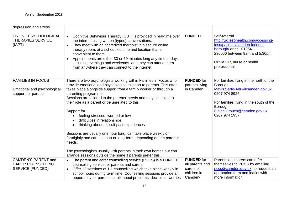| depression and stress.                                                            |                                                                                                                                                                                                                                                                                                                                                                                                                                                                                                                                                                                                                                                                                                                                                                                                          |                                                                             |                                                                                                                                                                                                            |
|-----------------------------------------------------------------------------------|----------------------------------------------------------------------------------------------------------------------------------------------------------------------------------------------------------------------------------------------------------------------------------------------------------------------------------------------------------------------------------------------------------------------------------------------------------------------------------------------------------------------------------------------------------------------------------------------------------------------------------------------------------------------------------------------------------------------------------------------------------------------------------------------------------|-----------------------------------------------------------------------------|------------------------------------------------------------------------------------------------------------------------------------------------------------------------------------------------------------|
| <b>ONLINE PSYCHOLOGICAL</b><br><b>THERAPIES SERVICE</b><br>(IAPT)                 | Cognitive Behaviour Therapy (CBT) is provided in real-time over<br>the internet using written (typed) conversations.<br>They meet with an accredited therapist in a secure online<br>therapy room, at a scheduled time and location that is<br>convenient to them.<br>Appointments are either 30 or 60 minutes long any time of day,<br>including evenings and weekends. and they can attend them<br>from anywhere they can connect to the internet                                                                                                                                                                                                                                                                                                                                                      | <b>FUNDED</b>                                                               | Self-referral<br>http://uk.iesohealth.com/accessing-<br>ieso/patients/camden-london-<br>borough/ or call 01954<br>230066 between 9am and 5.30pm<br>Or via GP, nurse or health<br>professional              |
| <b>FAMILIES IN FOCUS</b><br>Emotional and psychological<br>support for parents    | There are two psychologists working within Families in Focus who<br>provide emotional and psychological support to parents. This often<br>takes place alongside support from a family worker or through a<br>parenting programme.<br>Sessions are tailored to the parents' needs and may be linked to<br>their role as a parent or be unrelated to this.<br>Support for<br>feeling stressed, worried or low<br>difficulties in relationships<br>$\bullet$<br>thinking about difficult past experiences<br>$\bullet$<br>Sessions are usually one hour long, can take place weekly or<br>fortnightly and can be short or long-term, depending on the parent's<br>needs.<br>The psychologists usually visit parents in their own homes but can<br>arrange sessions outside the home if parents prefer this. | <b>FUNDED</b> for<br>parents living<br>in Camden                            | For families living in the north of the<br>Borough<br>Mavis.Sarfo-Adu@camden.gov.uk<br>0207 974 8926<br>For families living in the south of the<br>Borough<br>Elaine.Crouch@camden.gov.uk<br>0207 974 1957 |
| <b>CAMDEN'S PARENT and</b><br><b>CARER COUNSELLING</b><br><b>SERVICE (FUNDED)</b> | The parent and carer counselling service (PCCS) is a FUNDED<br>counselling service for parents and carers<br>Offer 12 sessions of 1-1 counselling which take place weekly in<br>$\bullet$<br>school hours during term time. Counselling sessions provide an<br>opportunity for parents to talk about problems, decisions, worries                                                                                                                                                                                                                                                                                                                                                                                                                                                                        | <b>FUNDED</b> for<br>all parents and<br>carers of<br>children in<br>Camden- | Parents and carers can refer<br>themselves to PCCS by emailing<br>pccs@camden.gov.uk to request an<br>application form and leaflet with<br>more information.                                               |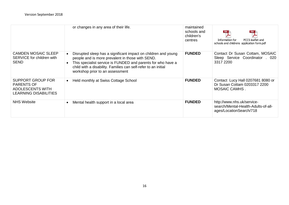|                                                                                                          | or changes in any area of their life.                                                                                                                                                                                                                                                   | maintained<br>schools and<br>children's<br>centres | Information for<br>PCCS leaflet and<br>schools and childrens application form.pdf            |
|----------------------------------------------------------------------------------------------------------|-----------------------------------------------------------------------------------------------------------------------------------------------------------------------------------------------------------------------------------------------------------------------------------------|----------------------------------------------------|----------------------------------------------------------------------------------------------|
| <b>CAMDEN MOSAIC SLEEP</b><br>SERVICE for children with<br><b>SEND</b>                                   | Disrupted sleep has a significant impact on children and young<br>people and is more prevalent in those with SEND.<br>This specialist service is FUNDED and parents for who have a<br>child with a disability. Families can self-refer to an initial<br>workshop prior to an assessment | <b>FUNDED</b>                                      | Contact Dr Susan Cottam, MOSAIC<br>Sleep Service Coordinator . 020<br>3317 2200              |
| <b>SUPPORT GROUP FOR</b><br><b>PARENTS OF</b><br><b>ADOLESCENTS WITH</b><br><b>LEARNING DISABILITIES</b> | Held monthly at Swiss Cottage School<br>$\bullet$                                                                                                                                                                                                                                       | <b>FUNDED</b>                                      | Contact Lucy Hall 0207681 8080 or<br>Dr Susan Cottam 0203317 2200<br><b>MOSAIC CAMHS.</b>    |
| <b>NHS Website</b>                                                                                       | Mental health support in a local area                                                                                                                                                                                                                                                   | <b>FUNDED</b>                                      | http://www.nhs.uk/service-<br>search/Mental-Health-Adults-of-all-<br>ages/LocationSearch/718 |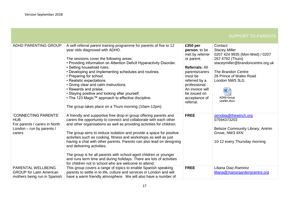| <b>ADHD PARENTING GROUP</b>     | A self-referral parent training programme for parents of five to 12   | £350 per              | Contact:                          |
|---------------------------------|-----------------------------------------------------------------------|-----------------------|-----------------------------------|
|                                 | year olds diagnosed with ADHD.                                        | person, to be         | <b>Stacey Miller</b>              |
|                                 |                                                                       | met by referrer       | 0207 424 9935 (Mon-Wed) / 0207    |
|                                 | The sessions cover the following areas:                               | or parent.            | 267 4792 (Thurs)                  |
|                                 | • Providing information on Attention Deficit Hyperactivity Disorder.  |                       | staceymiller@brandoncentre.org.uk |
|                                 | • Setting household rules.                                            | <b>Referrals: All</b> |                                   |
|                                 | • Developing and implementing schedules and routines.                 | parents/carers        | The Brandon Centre                |
|                                 | • Preparing for school.                                               | must be               | 26 Prince of Wales Road           |
|                                 | • Realistic expectations.                                             | referred by a         | London NW5 3LG                    |
|                                 | • Giving clear and calm instructions.                                 | professional.         |                                   |
|                                 | • Rewards and praise.                                                 | An invoice will       | $\mathbf{W}$                      |
|                                 | • Staying positive and looking after yourself.                        | be issued on          |                                   |
|                                 | • The 123 Magic™ approach to effective discipline.                    | acceptance of         | <b>ADHD Group</b>                 |
|                                 |                                                                       | referral.             | Leaflet.docx                      |
|                                 | The group takes place on a Thurs morning (10am-12pm)                  |                       |                                   |
|                                 |                                                                       |                       |                                   |
| 'CONNECTING PARENTS'            | A friendly and supportive free drop-in group offering parents and     | <b>FREE</b>           | zenobia@thewinch.org              |
| <b>HUB</b>                      | carers the opportunity to connect and collaborate with each other     |                       | 07594373203                       |
| For parents / carers in North   | and other organisations as well as providing activities for children. |                       |                                   |
| London - run by parents /       |                                                                       |                       | Belsize Community Library, Antrim |
| carers                          | The group aims to reduce isolation and provide a space for positive   |                       | Grove, NW3 4XN                    |
|                                 | activities such as cooking, fitness and workshops as well as just     |                       |                                   |
|                                 | having a chat with other parents. Parents can also lead on designing  |                       | 10-12 every Thursday morning      |
|                                 | and delivering activities.                                            |                       |                                   |
|                                 |                                                                       |                       |                                   |
|                                 | The group is for all parents with school-aged children or younger     |                       |                                   |
|                                 | and runs term time and during holidays. There are lots of activities  |                       |                                   |
|                                 | for children not in school who are welcome to attend.                 |                       |                                   |
| PARENTAL WELLBEING              | This group covers a range of topics to enable Spanish speaking        | <b>FREE</b>           | Liliana Diaz-Ramirez              |
| <b>GROUP for Latin American</b> | parents to settle in to life, culture and services in London and will |                       | liliana@manorgardenscentre.org    |
| mothers being run in Spanish    | have a warm friendly atmosphere. We will also have a number of        |                       |                                   |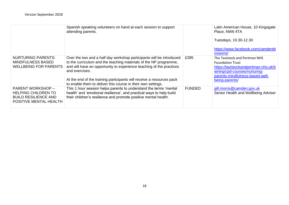|                                                                                                                 | Spanish speaking volunteers on hand at each session to support<br>attending parents.                                                                                                                                                                                                                                                                                         |               | Latin American House, 10 Kingsgate<br>Place, NW6 4TA<br>Tuesdays, 10.30-12.30<br>https://www.facebook.com/camdenbl<br>ossoms/                                                           |
|-----------------------------------------------------------------------------------------------------------------|------------------------------------------------------------------------------------------------------------------------------------------------------------------------------------------------------------------------------------------------------------------------------------------------------------------------------------------------------------------------------|---------------|-----------------------------------------------------------------------------------------------------------------------------------------------------------------------------------------|
| <b>NURTURING PARENTS:</b><br><b>MINDFULNESS BASED</b><br><b>WELLBEING FOR PARENTS</b>                           | Over the two and a half day workshop participants will be introduced<br>to the curriculum and the teaching materials of the NP programme,<br>and will have an opportunity to experience teaching of the practices<br>and exercises.<br>At the end of the training participants will receive a resources pack<br>to enable them to deliver this course in their own settings. | £395          | The Tavistock and Portman NHS<br><b>Foundation Trust</b><br>https://tavistockandportman.nhs.uk/tr<br>aining/cpd-courses/nurturing-<br>parents-mindfulness-based-well-<br>being-parents/ |
| <b>PARENT WORKSHOP -</b><br><b>HELPING CHILDREN TO</b><br><b>BUILD RESILIENCE AND</b><br>POSITIVE MENTAL HEALTH | This 1 hour session helps parents to understand the terms 'mental<br>health' and 'emotional resilience', and practical ways to help build<br>their children's resilience and promote positive mental health.                                                                                                                                                                 | <b>FUNDED</b> | gill.morris@camden.gov.uk<br>Senior Health and Wellbeing Adviser                                                                                                                        |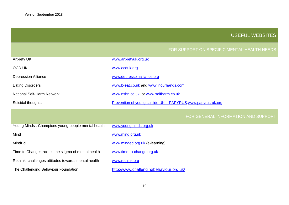The Challenging Behaviour Foundation

## USEFUL WEBSITES

<span id="page-18-0"></span>

| <b>Anxiety UK</b>                                   | www.anxietyuk.org.uk                                        |
|-----------------------------------------------------|-------------------------------------------------------------|
| <b>OCD UK</b>                                       | www.ocduk.org                                               |
| <b>Depression Alliance</b>                          | www.depressoinalliance.org                                  |
| <b>Eating Disorders</b>                             | www.b-eat.co.uk and www.inourhands.com                      |
| <b>National Self-Harm Network</b>                   | www.nshn.co.uk or www.selfharm.co.uk                        |
| Suicidal thoughts                                   | Prevention of young suicide UK - PAPYRUS www.papyrus-uk.org |
|                                                     |                                                             |
|                                                     |                                                             |
|                                                     | FOR GENERAL INFORMATION AND SUPPORT                         |
| Young Minds: Champions young people mental health   | www.youngminds.org.uk                                       |
| Mind                                                | www.mind.org.uk                                             |
| MindEd                                              | www.minded.org.uk (e-learning)                              |
| Time to Change: tackles the stigma of mental health | www.time-to-change.org.uk                                   |
| Rethink: challenges attitudes towards mental health | www.rethink.org                                             |

<http://www.challengingbehaviour.org.uk/>